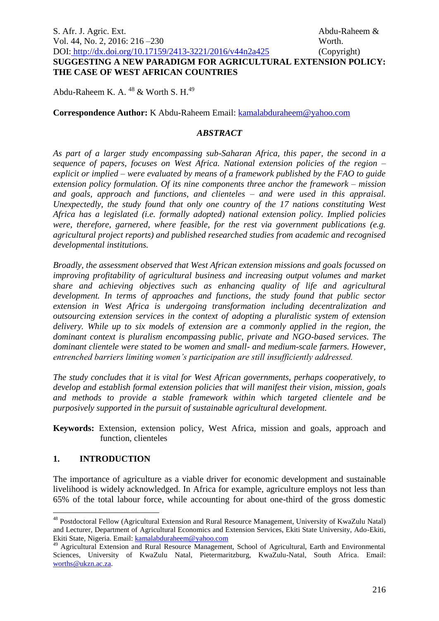Abdu-Raheem K. A.  $^{48}$  & Worth S. H.<sup>49</sup>

**Correspondence Author:** K Abdu-Raheem Email: [kamalabduraheem@yahoo.com](mailto:kamalabduraheem@yahoo.com)

# *ABSTRACT*

*As part of a larger study encompassing sub-Saharan Africa, this paper, the second in a sequence of papers, focuses on West Africa. National extension policies of the region – explicit or implied – were evaluated by means of a framework published by the FAO to guide extension policy formulation. Of its nine components three anchor the framework – mission and goals, approach and functions, and clienteles – and were used in this appraisal. Unexpectedly, the study found that only one country of the 17 nations constituting West Africa has a legislated (i.e. formally adopted) national extension policy. Implied policies were, therefore, garnered, where feasible, for the rest via government publications (e.g. agricultural project reports) and published researched studies from academic and recognised developmental institutions.* 

*Broadly, the assessment observed that West African extension missions and goals focussed on improving profitability of agricultural business and increasing output volumes and market share and achieving objectives such as enhancing quality of life and agricultural development. In terms of approaches and functions, the study found that public sector extension in West Africa is undergoing transformation including decentralization and outsourcing extension services in the context of adopting a pluralistic system of extension*  delivery. While up to six models of extension are a commonly applied in the region, the *dominant context is pluralism encompassing public, private and NGO-based services. The dominant clientele were stated to be women and small- and medium-scale farmers. However, entrenched barriers limiting women's participation are still insufficiently addressed.*

*The study concludes that it is vital for West African governments, perhaps cooperatively, to develop and establish formal extension policies that will manifest their vision, mission, goals and methods to provide a stable framework within which targeted clientele and be purposively supported in the pursuit of sustainable agricultural development.*

**Keywords:** Extension, extension policy, West Africa, mission and goals, approach and function, clienteles

## **1. INTRODUCTION**

1

The importance of agriculture as a viable driver for economic development and sustainable livelihood is widely acknowledged. In Africa for example, agriculture employs not less than 65% of the total labour force, while accounting for about one-third of the gross domestic

<sup>48</sup> Postdoctoral Fellow (Agricultural Extension and Rural Resource Management, University of KwaZulu Natal) and Lecturer, Department of Agricultural Economics and Extension Services, Ekiti State University, Ado-Ekiti, Ekiti State, Nigeria. Email: [kamalabduraheem@yahoo.com](mailto:kamalabduraheem@yahoo.com)

<sup>49</sup> Agricultural Extension and Rural Resource Management, School of Agricultural, Earth and Environmental Sciences, University of KwaZulu Natal, Pietermaritzburg, KwaZulu-Natal, South Africa. Email: [worths@ukzn.ac.za.](mailto:worths@ukzn.ac.za)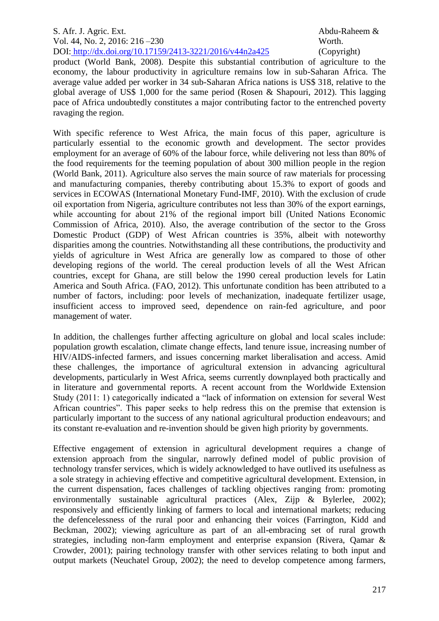product (World Bank, 2008). Despite this substantial contribution of agriculture to the economy, the labour productivity in agriculture remains low in sub-Saharan Africa. The average value added per worker in 34 sub-Saharan Africa nations is US\$ 318, relative to the global average of US\$ 1,000 for the same period (Rosen & Shapouri, 2012). This lagging pace of Africa undoubtedly constitutes a major contributing factor to the entrenched poverty ravaging the region.

With specific reference to West Africa, the main focus of this paper, agriculture is particularly essential to the economic growth and development. The sector provides employment for an average of 60% of the labour force, while delivering not less than 80% of the food requirements for the teeming population of about 300 million people in the region (World Bank, 2011). Agriculture also serves the main source of raw materials for processing and manufacturing companies, thereby contributing about 15.3% to export of goods and services in ECOWAS (International Monetary Fund-IMF, 2010). With the exclusion of crude oil exportation from Nigeria, agriculture contributes not less than 30% of the export earnings, while accounting for about 21% of the regional import bill (United Nations Economic Commission of Africa, 2010). Also, the average contribution of the sector to the Gross Domestic Product (GDP) of West African countries is 35%, albeit with noteworthy disparities among the countries. Notwithstanding all these contributions, the productivity and yields of agriculture in West Africa are generally low as compared to those of other developing regions of the world. The cereal production levels of all the West African countries, except for Ghana, are still below the 1990 cereal production levels for Latin America and South Africa. (FAO, 2012). This unfortunate condition has been attributed to a number of factors, including: poor levels of mechanization, inadequate fertilizer usage, insufficient access to improved seed, dependence on rain-fed agriculture, and poor management of water.

In addition, the challenges further affecting agriculture on global and local scales include: population growth escalation, climate change effects, land tenure issue, increasing number of HIV/AIDS-infected farmers, and issues concerning market liberalisation and access. Amid these challenges, the importance of agricultural extension in advancing agricultural developments, particularly in West Africa, seems currently downplayed both practically and in literature and governmental reports. A recent account from the Worldwide Extension Study (2011: 1) categorically indicated a "lack of information on extension for several West African countries". This paper seeks to help redress this on the premise that extension is particularly important to the success of any national agricultural production endeavours; and its constant re-evaluation and re-invention should be given high priority by governments.

Effective engagement of extension in agricultural development requires a change of extension approach from the singular, narrowly defined model of public provision of technology transfer services, which is widely acknowledged to have outlived its usefulness as a sole strategy in achieving effective and competitive agricultural development. Extension, in the current dispensation, faces challenges of tackling objectives ranging from: promoting environmentally sustainable agricultural practices (Alex, Zijp & Bylerlee, 2002); responsively and efficiently linking of farmers to local and international markets; reducing the defencelessness of the rural poor and enhancing their voices (Farrington, Kidd and Beckman, 2002); viewing agriculture as part of an all-embracing set of rural growth strategies, including non-farm employment and enterprise expansion (Rivera, Qamar & Crowder, 2001); pairing technology transfer with other services relating to both input and output markets (Neuchatel Group, 2002); the need to develop competence among farmers,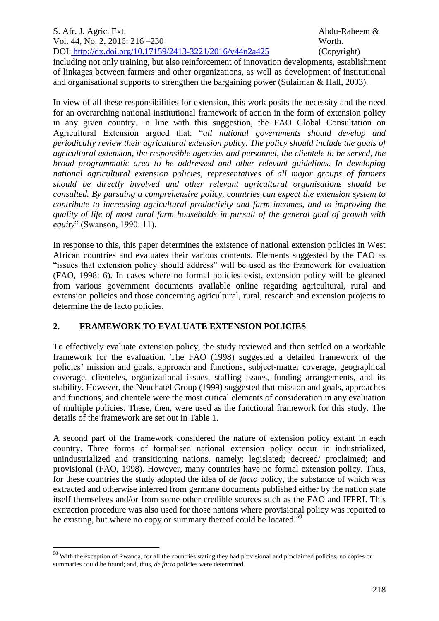including not only training, but also reinforcement of innovation developments, establishment of linkages between farmers and other organizations, as well as development of institutional and organisational supports to strengthen the bargaining power (Sulaiman & Hall, 2003).

In view of all these responsibilities for extension, this work posits the necessity and the need for an overarching national institutional framework of action in the form of extension policy in any given country. In line with this suggestion, the FAO Global Consultation on Agricultural Extension argued that: "*all national governments should develop and periodically review their agricultural extension policy. The policy should include the goals of agricultural extension, the responsible agencies and personnel, the clientele to be served, the broad programmatic area to be addressed and other relevant guidelines. In developing national agricultural extension policies, representatives of all major groups of farmers should be directly involved and other relevant agricultural organisations should be consulted. By pursuing a comprehensive policy, countries can expect the extension system to contribute to increasing agricultural productivity and farm incomes, and to improving the quality of life of most rural farm households in pursuit of the general goal of growth with equity*" (Swanson, 1990: 11).

In response to this, this paper determines the existence of national extension policies in West African countries and evaluates their various contents. Elements suggested by the FAO as "issues that extension policy should address" will be used as the framework for evaluation (FAO, 1998: 6). In cases where no formal policies exist, extension policy will be gleaned from various government documents available online regarding agricultural, rural and extension policies and those concerning agricultural, rural, research and extension projects to determine the de facto policies.

# **2. FRAMEWORK TO EVALUATE EXTENSION POLICIES**

To effectively evaluate extension policy, the study reviewed and then settled on a workable framework for the evaluation. The FAO (1998) suggested a detailed framework of the policies' mission and goals, approach and functions, subject-matter coverage, geographical coverage, clienteles, organizational issues, staffing issues, funding arrangements, and its stability. However, the Neuchatel Group (1999) suggested that mission and goals, approaches and functions, and clientele were the most critical elements of consideration in any evaluation of multiple policies. These, then, were used as the functional framework for this study. The details of the framework are set out in Table 1.

A second part of the framework considered the nature of extension policy extant in each country. Three forms of formalised national extension policy occur in industrialized, unindustrialized and transitioning nations, namely: legislated; decreed/ proclaimed; and provisional (FAO, 1998). However, many countries have no formal extension policy. Thus, for these countries the study adopted the idea of *de facto* policy, the substance of which was extracted and otherwise inferred from germane documents published either by the nation state itself themselves and/or from some other credible sources such as the FAO and IFPRI. This extraction procedure was also used for those nations where provisional policy was reported to be existing, but where no copy or summary thereof could be located.<sup>50</sup>

<u>.</u>

<sup>&</sup>lt;sup>50</sup> With the exception of Rwanda, for all the countries stating they had provisional and proclaimed policies, no copies or summaries could be found; and, thus, *de facto* policies were determined.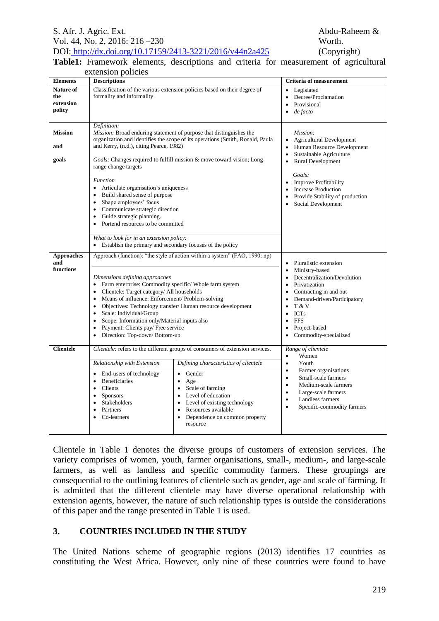#### **Table1:** Framework elements, descriptions and criteria for measurement of agricultural extension policies and the second

|                                              | extension policies                                                                                                                                                                                                                                                                                                                                                                                                                                                                                                                                                                   |                                                                                                                                                                                                                                                                                                                                                                                  |                                                                                                                                                                                                                                                                                                                                                                                 |  |  |  |  |  |
|----------------------------------------------|--------------------------------------------------------------------------------------------------------------------------------------------------------------------------------------------------------------------------------------------------------------------------------------------------------------------------------------------------------------------------------------------------------------------------------------------------------------------------------------------------------------------------------------------------------------------------------------|----------------------------------------------------------------------------------------------------------------------------------------------------------------------------------------------------------------------------------------------------------------------------------------------------------------------------------------------------------------------------------|---------------------------------------------------------------------------------------------------------------------------------------------------------------------------------------------------------------------------------------------------------------------------------------------------------------------------------------------------------------------------------|--|--|--|--|--|
| <b>Elements</b>                              | <b>Descriptions</b>                                                                                                                                                                                                                                                                                                                                                                                                                                                                                                                                                                  |                                                                                                                                                                                                                                                                                                                                                                                  | <b>Criteria of measurement</b>                                                                                                                                                                                                                                                                                                                                                  |  |  |  |  |  |
| Nature of<br>the<br>extension<br>policy      | formality and informality                                                                                                                                                                                                                                                                                                                                                                                                                                                                                                                                                            | Classification of the various extension policies based on their degree of                                                                                                                                                                                                                                                                                                        | Legislated<br>$\bullet$<br>Decree/Proclamation<br>$\bullet$<br>Provisional<br>de facto<br>٠                                                                                                                                                                                                                                                                                     |  |  |  |  |  |
| <b>Mission</b><br>and<br>goals               | Definition:<br>and Kerry, (n.d.), citing Pearce, 1982)<br>range change targets<br><b>Function</b>                                                                                                                                                                                                                                                                                                                                                                                                                                                                                    | <i>Mission:</i> Broad enduring statement of purpose that distinguishes the<br>organization and identifies the scope of its operations (Smith, Ronald, Paula<br>Goals: Changes required to fulfill mission & move toward vision; Long-                                                                                                                                            | Mission:<br><b>Agricultural Development</b><br>$\bullet$<br>Human Resource Development<br>$\bullet$<br>Sustainable Agriculture<br>$\bullet$<br>Rural Development<br>$\bullet$<br>Goals:                                                                                                                                                                                         |  |  |  |  |  |
|                                              | $\bullet$<br>Articulate organisation's uniqueness<br>Build shared sense of purpose<br>$\bullet$<br>Shape employees' focus<br>$\bullet$<br>• Communicate strategic direction<br>Guide strategic planning.<br>$\bullet$<br>Portend resources to be committed<br>$\bullet$<br>What to look for in an extension policy:<br>Establish the primary and secondary focuses of the policy<br>$\bullet$                                                                                                                                                                                        |                                                                                                                                                                                                                                                                                                                                                                                  | <b>Improve Profitability</b><br>$\bullet$<br><b>Increase Production</b><br>$\bullet$<br>Provide Stability of production<br>$\bullet$<br>Social Development<br>$\bullet$                                                                                                                                                                                                         |  |  |  |  |  |
| <b>Approaches</b><br>and<br><b>functions</b> | Approach (function): "the style of action within a system" (FAO, 1990: np)<br>Dimensions defining approaches<br>Farm enterprise: Commodity specific/ Whole farm system<br>$\bullet$<br>Clientele: Target category/ All households<br>$\bullet$<br>Means of influence: Enforcement/ Problem-solving<br>$\bullet$<br>Objectives: Technology transfer/ Human resource development<br>$\bullet$<br>Scale: Individual/Group<br>$\bullet$<br>Scope: Information only/Material inputs also<br>$\bullet$<br>Payment: Clients pay/ Free service<br>$\bullet$<br>Direction: Top-down/Bottom-up |                                                                                                                                                                                                                                                                                                                                                                                  | Pluralistic extension<br>$\bullet$<br>Ministry-based<br>$\bullet$<br>Decentralization/Devolution<br>$\bullet$<br>Privatization<br>$\bullet$<br>Contracting in and out<br>$\bullet$<br>Demand-driven/Participatory<br>$\bullet$<br>T & V<br>$\bullet$<br><b>ICTs</b><br>$\bullet$<br><b>FFS</b><br>$\bullet$<br>Project-based<br>$\bullet$<br>Commodity-specialized<br>$\bullet$ |  |  |  |  |  |
| <b>Clientele</b>                             | Relationship with Extension<br>• End-users of technology<br><b>Beneficiaries</b><br>$\bullet$<br>Clients<br>$\bullet$<br><b>Sponsors</b><br>$\bullet$<br>Stakeholders<br>Partners<br>$\bullet$<br>Co-learners                                                                                                                                                                                                                                                                                                                                                                        | Clientele: refers to the different groups of consumers of extension services.<br>Defining characteristics of clientele<br>Gender<br>$\bullet$<br>Age<br>$\bullet$<br>Scale of farming<br>$\bullet$<br>Level of education<br>$\bullet$<br>Level of existing technology<br>$\bullet$<br>Resources available<br>$\bullet$<br>Dependence on common property<br>$\bullet$<br>resource | Range of clientele<br>Women<br>$\bullet$<br>Youth<br>$\bullet$<br>Farmer organisations<br>$\bullet$<br>Small-scale farmers<br>$\bullet$<br>Medium-scale farmers<br>$\bullet$<br>Large-scale farmers<br>$\bullet$<br>Landless farmers<br>$\bullet$<br>Specific-commodity farmers<br>$\bullet$                                                                                    |  |  |  |  |  |

Clientele in Table 1 denotes the diverse groups of customers of extension services. The variety comprises of women, youth, farmer organisations, small-, medium-, and large-scale farmers, as well as landless and specific commodity farmers. These groupings are consequential to the outlining features of clientele such as gender, age and scale of farming. It is admitted that the different clientele may have diverse operational relationship with extension agents, however, the nature of such relationship types is outside the considerations of this paper and the range presented in Table 1 is used.

# **3. COUNTRIES INCLUDED IN THE STUDY**

The United Nations scheme of geographic regions (2013) identifies 17 countries as constituting the West Africa. However, only nine of these countries were found to have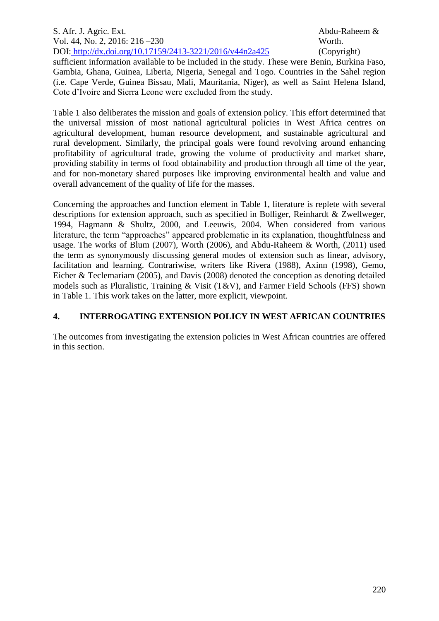sufficient information available to be included in the study. These were Benin, Burkina Faso, Gambia, Ghana, Guinea, Liberia, Nigeria, Senegal and Togo. Countries in the Sahel region (i.e. Cape Verde, Guinea Bissau, Mali, Mauritania, Niger), as well as Saint Helena Island, Cote d'Ivoire and Sierra Leone were excluded from the study.

Table 1 also deliberates the mission and goals of extension policy. This effort determined that the universal mission of most national agricultural policies in West Africa centres on agricultural development, human resource development, and sustainable agricultural and rural development. Similarly, the principal goals were found revolving around enhancing profitability of agricultural trade, growing the volume of productivity and market share, providing stability in terms of food obtainability and production through all time of the year, and for non-monetary shared purposes like improving environmental health and value and overall advancement of the quality of life for the masses.

Concerning the approaches and function element in Table 1, literature is replete with several descriptions for extension approach, such as specified in Bolliger, Reinhardt & Zwellweger*,* 1994, Hagmann & Shultz, 2000, and Leeuwis, 2004. When considered from various literature, the term "approaches" appeared problematic in its explanation, thoughtfulness and usage. The works of Blum (2007), Worth (2006), and Abdu-Raheem & Worth, (2011) used the term as synonymously discussing general modes of extension such as linear, advisory, facilitation and learning. Contrariwise, writers like Rivera (1988), Axinn (1998), Gemo, Eicher & Teclemariam (2005), and Davis (2008) denoted the conception as denoting detailed models such as Pluralistic, Training & Visit (T&V), and Farmer Field Schools (FFS) shown in Table 1. This work takes on the latter, more explicit, viewpoint.

# **4. INTERROGATING EXTENSION POLICY IN WEST AFRICAN COUNTRIES**

The outcomes from investigating the extension policies in West African countries are offered in this section.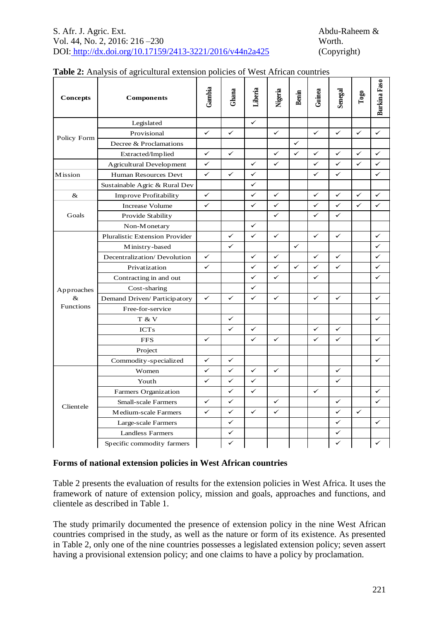|             | 0100<br>reunder entenden       |              |              |              |              |              |                                                                                                                                                                                                                                                                                                                                                                                                                                      |              |                |                     |
|-------------|--------------------------------|--------------|--------------|--------------|--------------|--------------|--------------------------------------------------------------------------------------------------------------------------------------------------------------------------------------------------------------------------------------------------------------------------------------------------------------------------------------------------------------------------------------------------------------------------------------|--------------|----------------|---------------------|
| Concepts    | <b>Components</b>              | Gambia       | Ghana        | Liberia      | Nigeria      | Benin        | Guinea                                                                                                                                                                                                                                                                                                                                                                                                                               | Senegal      | $\mathbf{Top}$ | <b>Burkina</b> Faso |
|             | Legislated                     |              |              | $\checkmark$ |              |              | $\checkmark$<br>$\checkmark$<br>$\checkmark$<br>$\checkmark$<br>$\checkmark$<br>$\checkmark$<br>$\checkmark$<br>$\checkmark$<br>$\checkmark$<br>✓<br>$\checkmark$<br>$\checkmark$<br>✓<br>✓<br>$\checkmark$<br>$\checkmark$<br>$\checkmark$<br>$\checkmark$<br>$\checkmark$<br>$\checkmark$<br>$\checkmark$<br>$\checkmark$<br>$\checkmark$<br>✓<br>✓<br>✓<br>✓<br>✓<br>$\checkmark$<br>$\checkmark$<br>$\checkmark$<br>$\checkmark$ |              |                |                     |
| Policy Form | Provisional                    | $\checkmark$ | $\checkmark$ |              | $\checkmark$ |              |                                                                                                                                                                                                                                                                                                                                                                                                                                      |              | $\checkmark$   | $\checkmark$        |
|             | Decree & Proclamations         |              |              |              |              | $\checkmark$ |                                                                                                                                                                                                                                                                                                                                                                                                                                      |              |                |                     |
|             | Extracted/Implied              | $\checkmark$ | $\checkmark$ |              | $\checkmark$ | $\checkmark$ |                                                                                                                                                                                                                                                                                                                                                                                                                                      |              | ✓              | ✓                   |
|             | Agricultural Development       | ✓            |              | $\checkmark$ | $\checkmark$ |              |                                                                                                                                                                                                                                                                                                                                                                                                                                      |              | $\checkmark$   | $\checkmark$        |
| Mission     | Human Resources Devt           | $\checkmark$ | $\checkmark$ | ✓            |              |              |                                                                                                                                                                                                                                                                                                                                                                                                                                      |              |                | $\checkmark$        |
|             | Sustainable Agric & Rural Dev  |              |              | $\checkmark$ |              |              |                                                                                                                                                                                                                                                                                                                                                                                                                                      |              |                |                     |
| $\&$        | Improve Profitability          | $\checkmark$ |              | $\checkmark$ | ✓            |              |                                                                                                                                                                                                                                                                                                                                                                                                                                      |              | ✓              | $\checkmark$        |
|             | Increase Volume                | $\checkmark$ |              | ✓            | $\checkmark$ |              |                                                                                                                                                                                                                                                                                                                                                                                                                                      |              | ✓              | $\checkmark$        |
| Goals       | Provide Stability              |              |              |              | ✓            |              |                                                                                                                                                                                                                                                                                                                                                                                                                                      |              |                |                     |
|             | Non-Monetary                   |              |              | $\checkmark$ |              |              |                                                                                                                                                                                                                                                                                                                                                                                                                                      |              |                |                     |
|             | Pluralistic Extension Provider |              | $\checkmark$ | $\checkmark$ | $\checkmark$ |              |                                                                                                                                                                                                                                                                                                                                                                                                                                      |              |                | $\checkmark$        |
|             | Ministry-based                 |              | $\checkmark$ |              |              | $\checkmark$ |                                                                                                                                                                                                                                                                                                                                                                                                                                      |              |                | $\checkmark$        |
|             | Decentralization/Devolution    | $\checkmark$ |              | $\checkmark$ | $\checkmark$ |              |                                                                                                                                                                                                                                                                                                                                                                                                                                      |              |                | $\checkmark$        |
| Approaches  | Privatization                  | $\checkmark$ |              | $\checkmark$ | $\checkmark$ | $\checkmark$ |                                                                                                                                                                                                                                                                                                                                                                                                                                      |              |                | $\checkmark$        |
|             | Contracting in and out         |              |              | $\checkmark$ | $\checkmark$ |              |                                                                                                                                                                                                                                                                                                                                                                                                                                      |              |                | $\checkmark$        |
|             | Cost-sharing                   |              |              | ✓            |              |              |                                                                                                                                                                                                                                                                                                                                                                                                                                      |              |                |                     |
| $\&$        | Demand Driven/Participatory    | $\checkmark$ | $\checkmark$ | $\checkmark$ | $\checkmark$ |              |                                                                                                                                                                                                                                                                                                                                                                                                                                      |              |                | $\checkmark$        |
| Functions   | Free-for-service               |              |              |              |              |              |                                                                                                                                                                                                                                                                                                                                                                                                                                      |              |                |                     |
|             | T & V                          |              | $\checkmark$ |              |              |              |                                                                                                                                                                                                                                                                                                                                                                                                                                      |              |                | $\checkmark$        |
|             | <b>ICTs</b>                    |              | $\checkmark$ | $\checkmark$ |              |              |                                                                                                                                                                                                                                                                                                                                                                                                                                      |              |                |                     |
|             | <b>FFS</b>                     | ✓            |              | ✓            | ✓            |              |                                                                                                                                                                                                                                                                                                                                                                                                                                      |              |                | $\checkmark$        |
|             | Project                        |              |              |              |              |              |                                                                                                                                                                                                                                                                                                                                                                                                                                      |              |                |                     |
|             | Commodity-specialized          | ✓            | $\checkmark$ |              |              |              |                                                                                                                                                                                                                                                                                                                                                                                                                                      |              |                | $\checkmark$        |
|             | Women                          | ✓            | $\checkmark$ | $\checkmark$ | $\checkmark$ |              |                                                                                                                                                                                                                                                                                                                                                                                                                                      |              |                |                     |
| Clientele   | Youth                          | $\checkmark$ | $\checkmark$ | $\checkmark$ |              |              |                                                                                                                                                                                                                                                                                                                                                                                                                                      |              |                |                     |
|             | Farmers Organization           |              | $\checkmark$ | $\checkmark$ |              |              |                                                                                                                                                                                                                                                                                                                                                                                                                                      |              |                | $\checkmark$        |
|             | <b>Small-scale Farmers</b>     | $\checkmark$ | $\checkmark$ |              | $\checkmark$ |              |                                                                                                                                                                                                                                                                                                                                                                                                                                      |              |                | $\checkmark$        |
|             | Medium-scale Farmers           | $\checkmark$ | $\checkmark$ | $\checkmark$ | $\checkmark$ |              |                                                                                                                                                                                                                                                                                                                                                                                                                                      |              | $\checkmark$   |                     |
|             | Large-scale Farmers            |              | $\checkmark$ |              |              |              |                                                                                                                                                                                                                                                                                                                                                                                                                                      | ✓            |                | $\checkmark$        |
|             | <b>Landless Farmers</b>        |              | $\checkmark$ |              |              |              |                                                                                                                                                                                                                                                                                                                                                                                                                                      | ✓            |                |                     |
|             | Specific commodity farmers     |              | ✓            |              |              |              |                                                                                                                                                                                                                                                                                                                                                                                                                                      | $\checkmark$ |                | ✓                   |

# **Table 2:** Analysis of agricultural extension policies of West African countries

## **Forms of national extension policies in West African countries**

Table 2 presents the evaluation of results for the extension policies in West Africa. It uses the framework of nature of extension policy, mission and goals, approaches and functions, and clientele as described in Table 1.

The study primarily documented the presence of extension policy in the nine West African countries comprised in the study, as well as the nature or form of its existence. As presented in Table 2, only one of the nine countries possesses a legislated extension policy; seven assert having a provisional extension policy; and one claims to have a policy by proclamation.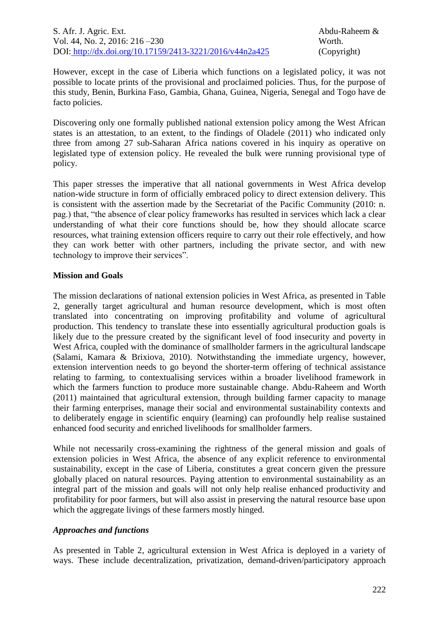However, except in the case of Liberia which functions on a legislated policy, it was not possible to locate prints of the provisional and proclaimed policies. Thus, for the purpose of this study, Benin, Burkina Faso, Gambia, Ghana, Guinea, Nigeria, Senegal and Togo have de facto policies.

Discovering only one formally published national extension policy among the West African states is an attestation, to an extent, to the findings of Oladele (2011) who indicated only three from among 27 sub-Saharan Africa nations covered in his inquiry as operative on legislated type of extension policy. He revealed the bulk were running provisional type of policy.

This paper stresses the imperative that all national governments in West Africa develop nation-wide structure in form of officially embraced policy to direct extension delivery. This is consistent with the assertion made by the Secretariat of the Pacific Community (2010: n. pag.) that, "the absence of clear policy frameworks has resulted in services which lack a clear understanding of what their core functions should be, how they should allocate scarce resources, what training extension officers require to carry out their role effectively, and how they can work better with other partners, including the private sector, and with new technology to improve their services".

## **Mission and Goals**

The mission declarations of national extension policies in West Africa, as presented in Table 2, generally target agricultural and human resource development, which is most often translated into concentrating on improving profitability and volume of agricultural production. This tendency to translate these into essentially agricultural production goals is likely due to the pressure created by the significant level of food insecurity and poverty in West Africa, coupled with the dominance of smallholder farmers in the agricultural landscape (Salami, Kamara & Brixiova*,* 2010). Notwithstanding the immediate urgency, however, extension intervention needs to go beyond the shorter-term offering of technical assistance relating to farming, to contextualising services within a broader livelihood framework in which the farmers function to produce more sustainable change. Abdu-Raheem and Worth (2011) maintained that agricultural extension, through building farmer capacity to manage their farming enterprises, manage their social and environmental sustainability contexts and to deliberately engage in scientific enquiry (learning) can profoundly help realise sustained enhanced food security and enriched livelihoods for smallholder farmers.

While not necessarily cross-examining the rightness of the general mission and goals of extension policies in West Africa, the absence of any explicit reference to environmental sustainability, except in the case of Liberia, constitutes a great concern given the pressure globally placed on natural resources. Paying attention to environmental sustainability as an integral part of the mission and goals will not only help realise enhanced productivity and profitability for poor farmers, but will also assist in preserving the natural resource base upon which the aggregate livings of these farmers mostly hinged.

#### *Approaches and functions*

As presented in Table 2, agricultural extension in West Africa is deployed in a variety of ways. These include decentralization, privatization, demand-driven/participatory approach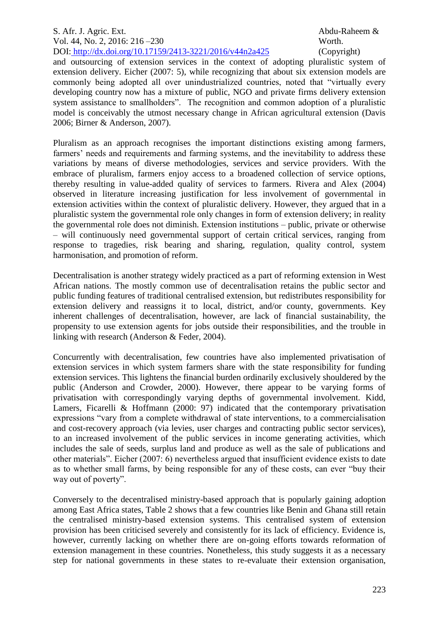and outsourcing of extension services in the context of adopting pluralistic system of extension delivery. Eicher (2007: 5), while recognizing that about six extension models are commonly being adopted all over unindustrialized countries, noted that "virtually every developing country now has a mixture of public, NGO and private firms delivery extension system assistance to smallholders". The recognition and common adoption of a pluralistic model is conceivably the utmost necessary change in African agricultural extension (Davis 2006; Birner & Anderson, 2007).

Pluralism as an approach recognises the important distinctions existing among farmers, farmers' needs and requirements and farming systems, and the inevitability to address these variations by means of diverse methodologies, services and service providers. With the embrace of pluralism, farmers enjoy access to a broadened collection of service options, thereby resulting in value-added quality of services to farmers. Rivera and Alex (2004) observed in literature increasing justification for less involvement of governmental in extension activities within the context of pluralistic delivery. However, they argued that in a pluralistic system the governmental role only changes in form of extension delivery; in reality the governmental role does not diminish. Extension institutions – public, private or otherwise – will continuously need governmental support of certain critical services, ranging from response to tragedies, risk bearing and sharing, regulation, quality control, system harmonisation, and promotion of reform.

Decentralisation is another strategy widely practiced as a part of reforming extension in West African nations. The mostly common use of decentralisation retains the public sector and public funding features of traditional centralised extension, but redistributes responsibility for extension delivery and reassigns it to local, district, and/or county, governments. Key inherent challenges of decentralisation, however, are lack of financial sustainability, the propensity to use extension agents for jobs outside their responsibilities, and the trouble in linking with research (Anderson & Feder, 2004).

Concurrently with decentralisation, few countries have also implemented privatisation of extension services in which system farmers share with the state responsibility for funding extension services. This lightens the financial burden ordinarily exclusively shouldered by the public (Anderson and Crowder, 2000). However, there appear to be varying forms of privatisation with correspondingly varying depths of governmental involvement. Kidd, Lamers, Ficarelli & Hoffmann (2000: 97) indicated that the contemporary privatisation expressions "vary from a complete withdrawal of state interventions, to a commercialisation and cost-recovery approach (via levies, user charges and contracting public sector services), to an increased involvement of the public services in income generating activities, which includes the sale of seeds, surplus land and produce as well as the sale of publications and other materials". Eicher (2007: 6) nevertheless argued that insufficient evidence exists to date as to whether small farms, by being responsible for any of these costs, can ever "buy their way out of poverty".

Conversely to the decentralised ministry-based approach that is popularly gaining adoption among East Africa states, Table 2 shows that a few countries like Benin and Ghana still retain the centralised ministry-based extension systems. This centralised system of extension provision has been criticised severely and consistently for its lack of efficiency. Evidence is, however, currently lacking on whether there are on-going efforts towards reformation of extension management in these countries. Nonetheless, this study suggests it as a necessary step for national governments in these states to re-evaluate their extension organisation,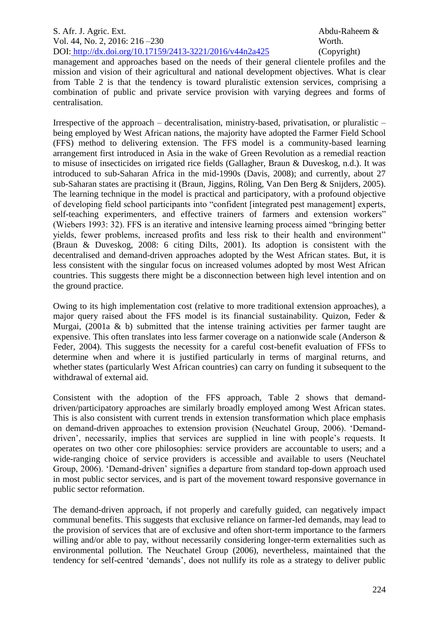management and approaches based on the needs of their general clientele profiles and the mission and vision of their agricultural and national development objectives. What is clear from Table 2 is that the tendency is toward pluralistic extension services, comprising a combination of public and private service provision with varying degrees and forms of centralisation.

Irrespective of the approach – decentralisation, ministry-based, privatisation, or pluralistic – being employed by West African nations, the majority have adopted the Farmer Field School (FFS) method to delivering extension. The FFS model is a community-based learning arrangement first introduced in Asia in the wake of Green Revolution as a remedial reaction to misuse of insecticides on irrigated rice fields (Gallagher, Braun & Duveskog*,* n.d.). It was introduced to sub-Saharan Africa in the mid-1990s (Davis, 2008); and currently, about 27 sub-Saharan states are practising it (Braun, Jiggins, Röling, Van Den Berg & Snijders, 2005). The learning technique in the model is practical and participatory, with a profound objective of developing field school participants into "confident [integrated pest management] experts, self-teaching experimenters, and effective trainers of farmers and extension workers" (Wiebers 1993: 32). FFS is an iterative and intensive learning process aimed "bringing better yields, fewer problems, increased profits and less risk to their health and environment" (Braun & Duveskog, 2008: 6 citing Dilts, 2001). Its adoption is consistent with the decentralised and demand-driven approaches adopted by the West African states. But, it is less consistent with the singular focus on increased volumes adopted by most West African countries. This suggests there might be a disconnection between high level intention and on the ground practice.

Owing to its high implementation cost (relative to more traditional extension approaches), a major query raised about the FFS model is its financial sustainability. Quizon, Feder & Murgai*,* (2001a & b) submitted that the intense training activities per farmer taught are expensive. This often translates into less farmer coverage on a nationwide scale (Anderson & Feder, 2004). This suggests the necessity for a careful cost-benefit evaluation of FFSs to determine when and where it is justified particularly in terms of marginal returns, and whether states (particularly West African countries) can carry on funding it subsequent to the withdrawal of external aid.

Consistent with the adoption of the FFS approach, Table 2 shows that demanddriven/participatory approaches are similarly broadly employed among West African states. This is also consistent with current trends in extension transformation which place emphasis on demand-driven approaches to extension provision (Neuchatel Group, 2006). 'Demanddriven', necessarily, implies that services are supplied in line with people's requests. It operates on two other core philosophies: service providers are accountable to users; and a wide-ranging choice of service providers is accessible and available to users (Neuchatel Group, 2006). 'Demand-driven' signifies a departure from standard top-down approach used in most public sector services, and is part of the movement toward responsive governance in public sector reformation.

The demand-driven approach, if not properly and carefully guided, can negatively impact communal benefits. This suggests that exclusive reliance on farmer-led demands, may lead to the provision of services that are of exclusive and often short-term importance to the farmers willing and/or able to pay, without necessarily considering longer-term externalities such as environmental pollution. The Neuchatel Group (2006), nevertheless, maintained that the tendency for self-centred 'demands', does not nullify its role as a strategy to deliver public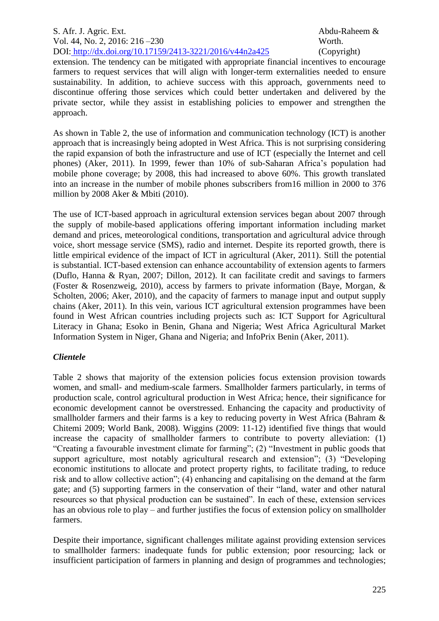extension. The tendency can be mitigated with appropriate financial incentives to encourage farmers to request services that will align with longer-term externalities needed to ensure sustainability. In addition, to achieve success with this approach, governments need to discontinue offering those services which could better undertaken and delivered by the private sector, while they assist in establishing policies to empower and strengthen the approach.

As shown in Table 2, the use of information and communication technology (ICT) is another approach that is increasingly being adopted in West Africa. This is not surprising considering the rapid expansion of both the infrastructure and use of ICT (especially the Internet and cell phones) (Aker, 2011). In 1999, fewer than 10% of sub-Saharan Africa's population had mobile phone coverage; by 2008, this had increased to above 60%. This growth translated into an increase in the number of mobile phones subscribers from16 million in 2000 to 376 million by 2008 Aker & Mbiti (2010).

The use of ICT-based approach in agricultural extension services began about 2007 through the supply of mobile-based applications offering important information including market demand and prices, meteorological conditions, transportation and agricultural advice through voice, short message service (SMS), radio and internet. Despite its reported growth, there is little empirical evidence of the impact of ICT in agricultural (Aker, 2011). Still the potential is substantial. ICT-based extension can enhance accountability of extension agents to farmers (Duflo, Hanna & Ryan, 2007; Dillon, 2012). It can facilitate credit and savings to farmers (Foster & Rosenzweig, 2010), access by farmers to private information (Baye, Morgan, & Scholten*,* 2006; Aker, 2010), and the capacity of farmers to manage input and output supply chains (Aker, 2011). In this vein, various ICT agricultural extension programmes have been found in West African countries including projects such as: ICT Support for Agricultural Literacy in Ghana; Esoko in Benin, Ghana and Nigeria; West Africa Agricultural Market Information System in Niger, Ghana and Nigeria; and InfoPrix Benin (Aker, 2011).

## *Clientele*

Table 2 shows that majority of the extension policies focus extension provision towards women, and small- and medium-scale farmers. Smallholder farmers particularly, in terms of production scale, control agricultural production in West Africa; hence, their significance for economic development cannot be overstressed. Enhancing the capacity and productivity of smallholder farmers and their farms is a key to reducing poverty in West Africa (Bahram & Chitemi 2009; World Bank, 2008). Wiggins (2009: 11-12) identified five things that would increase the capacity of smallholder farmers to contribute to poverty alleviation: (1) "Creating a favourable investment climate for farming"; (2) "Investment in public goods that support agriculture, most notably agricultural research and extension"; (3) "Developing economic institutions to allocate and protect property rights, to facilitate trading, to reduce risk and to allow collective action"; (4) enhancing and capitalising on the demand at the farm gate; and (5) supporting farmers in the conservation of their "land, water and other natural resources so that physical production can be sustained". In each of these, extension services has an obvious role to play – and further justifies the focus of extension policy on smallholder farmers.

Despite their importance, significant challenges militate against providing extension services to smallholder farmers: inadequate funds for public extension; poor resourcing; lack or insufficient participation of farmers in planning and design of programmes and technologies;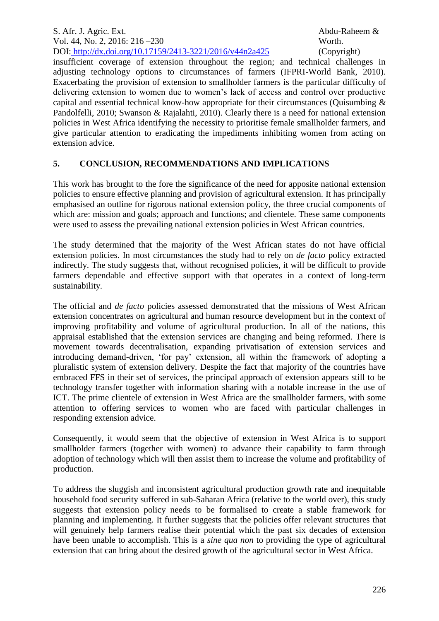insufficient coverage of extension throughout the region; and technical challenges in adjusting technology options to circumstances of farmers (IFPRI-World Bank, 2010). Exacerbating the provision of extension to smallholder farmers is the particular difficulty of delivering extension to women due to women's lack of access and control over productive capital and essential technical know-how appropriate for their circumstances (Quisumbing & Pandolfelli, 2010; Swanson & Rajalahti, 2010). Clearly there is a need for national extension policies in West Africa identifying the necessity to prioritise female smallholder farmers, and give particular attention to eradicating the impediments inhibiting women from acting on extension advice.

# **5. CONCLUSION, RECOMMENDATIONS AND IMPLICATIONS**

This work has brought to the fore the significance of the need for apposite national extension policies to ensure effective planning and provision of agricultural extension. It has principally emphasised an outline for rigorous national extension policy, the three crucial components of which are: mission and goals; approach and functions; and clientele. These same components were used to assess the prevailing national extension policies in West African countries.

The study determined that the majority of the West African states do not have official extension policies. In most circumstances the study had to rely on *de facto* policy extracted indirectly. The study suggests that, without recognised policies, it will be difficult to provide farmers dependable and effective support with that operates in a context of long-term sustainability.

The official and *de facto* policies assessed demonstrated that the missions of West African extension concentrates on agricultural and human resource development but in the context of improving profitability and volume of agricultural production. In all of the nations, this appraisal established that the extension services are changing and being reformed. There is movement towards decentralisation, expanding privatisation of extension services and introducing demand-driven, 'for pay' extension, all within the framework of adopting a pluralistic system of extension delivery. Despite the fact that majority of the countries have embraced FFS in their set of services, the principal approach of extension appears still to be technology transfer together with information sharing with a notable increase in the use of ICT. The prime clientele of extension in West Africa are the smallholder farmers, with some attention to offering services to women who are faced with particular challenges in responding extension advice.

Consequently, it would seem that the objective of extension in West Africa is to support smallholder farmers (together with women) to advance their capability to farm through adoption of technology which will then assist them to increase the volume and profitability of production.

To address the sluggish and inconsistent agricultural production growth rate and inequitable household food security suffered in sub-Saharan Africa (relative to the world over), this study suggests that extension policy needs to be formalised to create a stable framework for planning and implementing. It further suggests that the policies offer relevant structures that will genuinely help farmers realise their potential which the past six decades of extension have been unable to accomplish. This is a *sine qua non* to providing the type of agricultural extension that can bring about the desired growth of the agricultural sector in West Africa.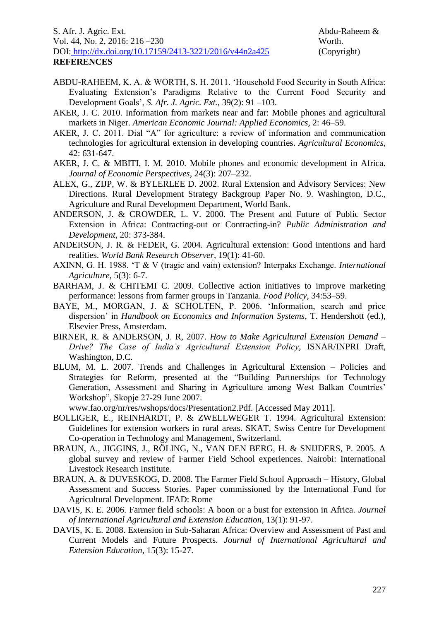- ABDU-RAHEEM, K. A. & WORTH, S. H. 2011. 'Household Food Security in South Africa: Evaluating Extension's Paradigms Relative to the Current Food Security and Development Goals', *S. Afr. J. Agric. Ext.,* 39(2): 91 –103.
- AKER, J. C. 2010. Information from markets near and far: Mobile phones and agricultural markets in Niger. *American Economic Journal: Applied Economics,* 2: 46–59.
- AKER, J. C. 2011. Dial "A" for agriculture: a review of information and communication technologies for agricultural extension in developing countries. *Agricultural Economics*, 42: 631-647.
- AKER, J. C. & MBITI, I. M. 2010. Mobile phones and economic development in Africa. *Journal of Economic Perspectives,* 24(3): 207–232.
- ALEX, G., ZIJP, W. & BYLERLEE D. 2002. Rural Extension and Advisory Services: New Directions. Rural Development Strategy Backgroup Paper No. 9. Washington, D.C., Agriculture and Rural Development Department, World Bank.
- ANDERSON, J. & CROWDER, L. V. 2000. The Present and Future of Public Sector Extension in Africa: Contracting-out or Contracting-in? *Public Administration and Development*, 20: 373-384.
- ANDERSON, J. R. & FEDER, G. 2004. Agricultural extension: Good intentions and hard realities. *World Bank Research Observer*, 19(1): 41-60.
- AXINN, G. H. 1988. 'T & V (tragic and vain) extension? Interpaks Exchange. *International Agriculture*, 5(3): 6-7.
- BARHAM, J. & CHITEMI C. 2009. Collective action initiatives to improve marketing performance: lessons from farmer groups in Tanzania. *Food Policy*, 34:53–59.
- BAYE, M., MORGAN, J. & SCHOLTEN, P. 2006. 'Information, search and price dispersion' in *Handbook on Economics and Information Systems*, T. Hendershott (ed.), Elsevier Press, Amsterdam.
- BIRNER, R. & ANDERSON, J. R, 2007. *How to Make Agricultural Extension Demand – Drive? The Case of India's Agricultural Extension Policy*, ISNAR/INPRI Draft, Washington, D.C.
- BLUM, M. L. 2007. Trends and Challenges in Agricultural Extension Policies and Strategies for Reform, presented at the "Building Partnerships for Technology Generation, Assessment and Sharing in Agriculture among West Balkan Countries' Workshop", Skopje 27-29 June 2007.

www.fao.org/nr/res/wshops/docs/Presentation2.Pdf. [Accessed May 2011].

- BOLLIGER, E., REINHARDT, P. & ZWELLWEGER T. 1994. Agricultural Extension: Guidelines for extension workers in rural areas. SKAT, Swiss Centre for Development Co-operation in Technology and Management, Switzerland.
- BRAUN, A., JIGGINS, J., RÖLING, N., VAN DEN BERG, H. & SNIJDERS, P. 2005. A global survey and review of Farmer Field School experiences. Nairobi: International Livestock Research Institute.
- BRAUN, A. & DUVESKOG, D. 2008. The Farmer Field School Approach History, Global Assessment and Success Stories. Paper commissioned by the International Fund for Agricultural Development. IFAD: Rome
- DAVIS, K. E. 2006. Farmer field schools: A boon or a bust for extension in Africa. *Journal of International Agricultural and Extension Education,* 13(1): 91-97.
- DAVIS, K. E. 2008. Extension in Sub-Saharan Africa: Overview and Assessment of Past and Current Models and Future Prospects. *Journal of International Agricultural and Extension Education,* 15(3): 15-27.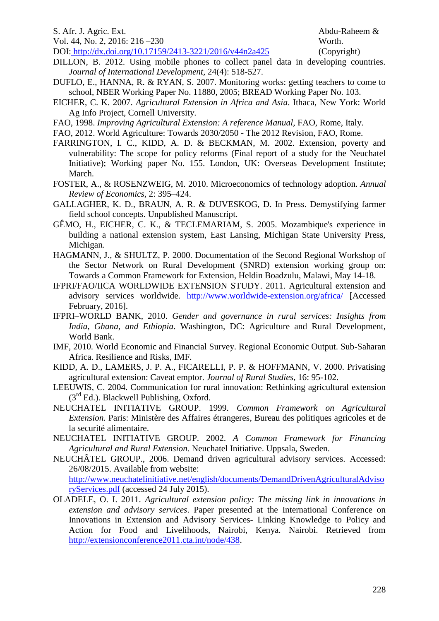| S. Afr. J. Agric. Ext.                                   | Abdu-Rahee  |
|----------------------------------------------------------|-------------|
| Vol. 44, No. 2, 2016: $216 - 230$                        | Worth.      |
| DOI: http://dx.doi.org/10.17159/2413-3221/2016/v44n2a425 | (Copyright) |

- DILLON, B. 2012. Using mobile phones to collect panel data in developing countries. *Journal of International Development,* 24(4): 518-527.
- DUFLO, E., HANNA, R. & RYAN, S. 2007. Monitoring works: getting teachers to come to school, NBER Working Paper No. 11880, 2005; BREAD Working Paper No. 103.
- EICHER, C. K. 2007. *Agricultural Extension in Africa and Asia*. Ithaca, New York: World Ag Info Project, Cornell University.
- FAO, 1998. *Improving Agricultural Extension: A reference Manual*, FAO, Rome, Italy.
- FAO, 2012. World Agriculture: Towards 2030/2050 The 2012 Revision, FAO, Rome.
- FARRINGTON, I. C., KIDD, A. D. & BECKMAN, M. 2002. Extension, poverty and vulnerability: The scope for policy reforms (Final report of a study for the Neuchatel Initiative); Working paper No. 155. London, UK: Overseas Development Institute; March.
- FOSTER, A., & ROSENZWEIG, M. 2010. Microeconomics of technology adoption. *Annual Review of Economics,* 2: 395–424.
- GALLAGHER, K. D., BRAUN, A. R. & DUVESKOG, D. In Press. Demystifying farmer field school concepts. Unpublished Manuscript.
- GÊMO, H., EICHER, C. K., & TECLEMARIAM, S. 2005. Mozambique's experience in building a national extension system, East Lansing, Michigan State University Press, Michigan.
- HAGMANN, J., & SHULTZ, P. 2000. Documentation of the Second Regional Workshop of the Sector Network on Rural Development (SNRD) extension working group on: Towards a Common Framework for Extension, Heldin Boadzulu, Malawi, May 14-18.
- IFPRI/FAO/IICA WORLDWIDE EXTENSION STUDY. 2011. Agricultural extension and advisory services worldwide. <http://www.worldwide-extension.org/africa/> [Accessed February, 2016].
- IFPRI–WORLD BANK, 2010. *Gender and governance in rural services: Insights from India, Ghana, and Ethiopia*. Washington, DC: Agriculture and Rural Development, World Bank.
- IMF, 2010. World Economic and Financial Survey. Regional Economic Output. Sub-Saharan Africa. Resilience and Risks, IMF.
- KIDD, A. D., LAMERS, J. P. A., FICARELLI, P. P. & HOFFMANN, V. 2000. Privatising agricultural extension: Caveat emptor. *Journal of Rural Studies*, 16: 95-102.
- LEEUWIS, C. 2004. Communication for rural innovation: Rethinking agricultural extension  $(3<sup>rd</sup> Ed.)$ . Blackwell Publishing, Oxford.
- NEUCHATEL INITIATIVE GROUP. 1999. *Common Framework on Agricultural Extension.* Paris: Ministère des Affaires étrangeres, Bureau des politiques agricoles et de la securité alimentaire.
- NEUCHATEL INITIATIVE GROUP. 2002. *A Common Framework for Financing Agricultural and Rural Extension.* Neuchatel Initiative. Uppsala, Sweden.
- NEUCHÂTEL GROUP., 2006. Demand driven agricultural advisory services. Accessed: 26/08/2015. Available from website:

[http://www.neuchatelinitiative.net/english/documents/DemandDrivenAgriculturalAdviso](http://www.neuchatelinitiative.net/english/documents/DemandDrivenAgriculturalAdvisoryServices.pdf) [ryServices.pdf](http://www.neuchatelinitiative.net/english/documents/DemandDrivenAgriculturalAdvisoryServices.pdf) (accessed 24 July 2015).

OLADELE, O. I. 2011. *Agricultural extension policy: The missing link in innovations in extension and advisory services*. Paper presented at the International Conference on Innovations in Extension and Advisory Services- Linking Knowledge to Policy and Action for Food and Livelihoods, Nairobi, Kenya. Nairobi. Retrieved from [http://extensionconference2011.cta.int/node/438.](http://extensionconference2011.cta.int/node/438)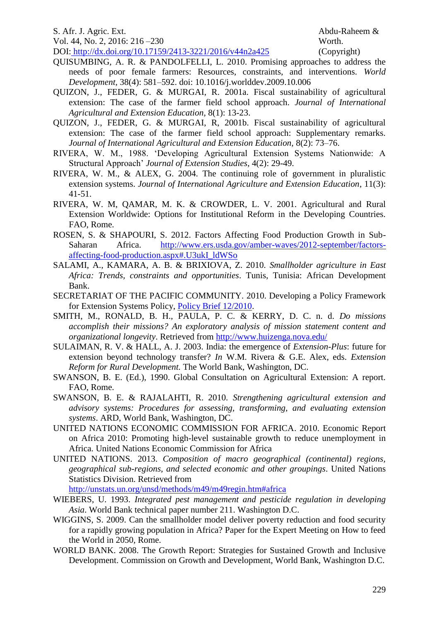| S. Afr. J. Agric. Ext.                                   | Abdu-R  |
|----------------------------------------------------------|---------|
| Vol. 44, No. 2, 2016: 216–230                            | Worth.  |
| DOI: http://dx.doi.org/10.17159/2413-3221/2016/v44n2a425 | (Copyri |

QUISUMBING, A. R. & PANDOLFELLI, L. 2010. Promising approaches to address the needs of poor female farmers: Resources, constraints, and interventions. *World Development,* 38(4): 581–592. doi: 10.1016/j.worlddev.2009.10.006

- QUIZON, J., FEDER, G. & MURGAI, R. 2001a. Fiscal sustainability of agricultural extension: The case of the farmer field school approach. *Journal of International Agricultural and Extension Education,* 8(1): 13-23.
- QUIZON, J., FEDER, G. & MURGAI, R, 2001b. Fiscal sustainability of agricultural extension: The case of the farmer field school approach: Supplementary remarks. *Journal of International Agricultural and Extension Education,* 8(2): 73–76.
- RIVERA, W. M., 1988. 'Developing Agricultural Extension Systems Nationwide: A Structural Approach' *Journal of Extension Studies*, 4(2): 29-49.
- RIVERA, W. M., & ALEX, G. 2004. The continuing role of government in pluralistic extension systems. *Journal of International Agriculture and Extension Education*, 11(3): 41-51.
- RIVERA, W. M, QAMAR, M. K. & CROWDER, L. V. 2001. Agricultural and Rural Extension Worldwide: Options for Institutional Reform in the Developing Countries. FAO, Rome.
- ROSEN, S. & SHAPOURI, S. 2012. Factors Affecting Food Production Growth in SubSaharan Africa. [http://www.ers.usda.gov/amber-waves/2012-september/factors](http://www.ers.usda.gov/amber-waves/2012-september/factors-affecting-food-production.aspx#.U3ukI_ldWSo)[affecting-food-production.aspx#.U3ukI\\_ldWSo](http://www.ers.usda.gov/amber-waves/2012-september/factors-affecting-food-production.aspx#.U3ukI_ldWSo)
- SALAMI, A., KAMARA, A. B. & BRIXIOVA, Z. 2010. *Smallholder agriculture in East Africa: Trends, constraints and opportunities*. Tunis, Tunisia: African Development Bank.
- SECRETARIAT OF THE PACIFIC COMMUNITY. 2010. Developing a Policy Framework for Extension Systems Policy, [Policy Brief 12/2010.](http://www.spc.int/lrd/index.php?option=com_docman&task=doc_download&gid=1194&Itemid=130)
- SMITH, M., RONALD, B. H., PAULA, P. C. & KERRY, D. C. n. d. *Do missions accomplish their missions? An exploratory analysis of mission statement content and organizational longevity*. Retrieved from<http://www.huizenga.nova.edu/>
- SULAIMAN, R. V. & HALL, A. J. 2003. India: the emergence of *Extension-Plus*: future for extension beyond technology transfer? *In* W.M. Rivera & G.E. Alex, eds. *Extension Reform for Rural Development.* The World Bank, Washington, DC.
- SWANSON, B. E. (Ed.), 1990. Global Consultation on Agricultural Extension: A report. FAO, Rome.
- SWANSON, B. E. & RAJALAHTI, R. 2010. *Strengthening agricultural extension and advisory systems: Procedures for assessing, transforming, and evaluating extension systems*. ARD, World Bank, Washington, DC.
- UNITED NATIONS ECONOMIC COMMISSION FOR AFRICA. 2010. Economic Report on Africa 2010: Promoting high-level sustainable growth to reduce unemployment in Africa. United Nations Economic Commission for Africa
- UNITED NATIONS. 2013. *Composition of macro geographical (continental) regions, geographical sub-regions, and selected economic and other groupings*. United Nations Statistics Division. Retrieved from

<http://unstats.un.org/unsd/methods/m49/m49regin.htm#africa>

- WIEBERS, U. 1993. *Integrated pest management and pesticide regulation in developing Asia*. World Bank technical paper number 211. Washington D.C.
- WIGGINS, S. 2009. Can the smallholder model deliver poverty reduction and food security for a rapidly growing population in Africa? Paper for the Expert Meeting on How to feed the World in 2050, Rome.
- WORLD BANK. 2008. The Growth Report: Strategies for Sustained Growth and Inclusive Development. Commission on Growth and Development, World Bank, Washington D.C.